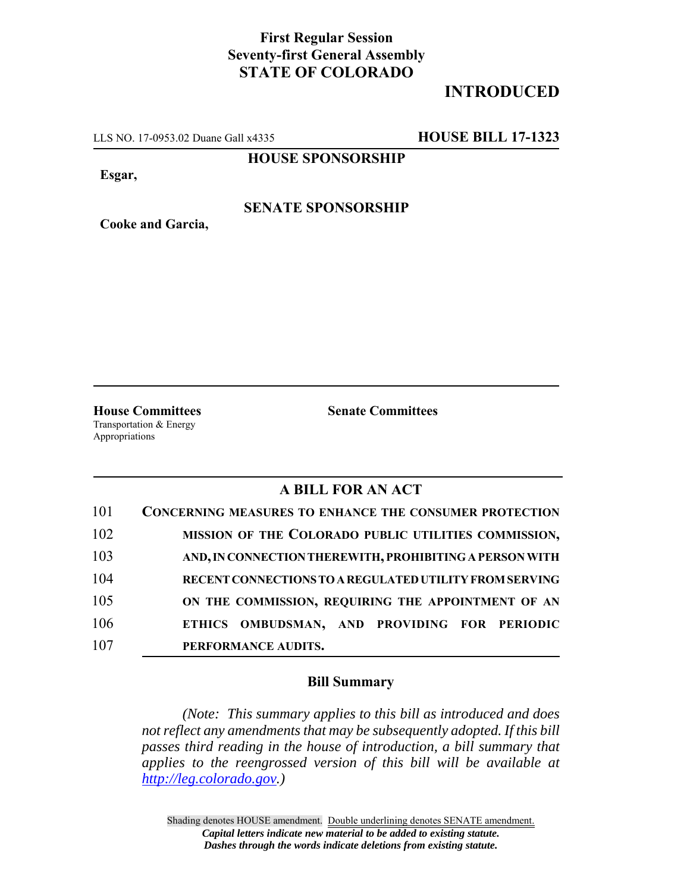# **First Regular Session Seventy-first General Assembly STATE OF COLORADO**

# **INTRODUCED**

LLS NO. 17-0953.02 Duane Gall x4335 **HOUSE BILL 17-1323**

**HOUSE SPONSORSHIP**

**Esgar,**

**Cooke and Garcia,**

### **SENATE SPONSORSHIP**

**House Committees Senate Committees** Transportation & Energy Appropriations

### **A BILL FOR AN ACT**

| 101 | <b>CONCERNING MEASURES TO ENHANCE THE CONSUMER PROTECTION</b> |
|-----|---------------------------------------------------------------|
| 102 | MISSION OF THE COLORADO PUBLIC UTILITIES COMMISSION,          |
| 103 | AND, IN CONNECTION THEREWITH, PROHIBITING A PERSON WITH       |
| 104 | RECENT CONNECTIONS TO A REGULATED UTILITY FROM SERVING        |
| 105 | ON THE COMMISSION, REQUIRING THE APPOINTMENT OF AN            |
| 106 | ETHICS OMBUDSMAN, AND PROVIDING FOR PERIODIC                  |
| 107 | PERFORMANCE AUDITS.                                           |

#### **Bill Summary**

*(Note: This summary applies to this bill as introduced and does not reflect any amendments that may be subsequently adopted. If this bill passes third reading in the house of introduction, a bill summary that applies to the reengrossed version of this bill will be available at http://leg.colorado.gov.)*

Shading denotes HOUSE amendment. Double underlining denotes SENATE amendment. *Capital letters indicate new material to be added to existing statute. Dashes through the words indicate deletions from existing statute.*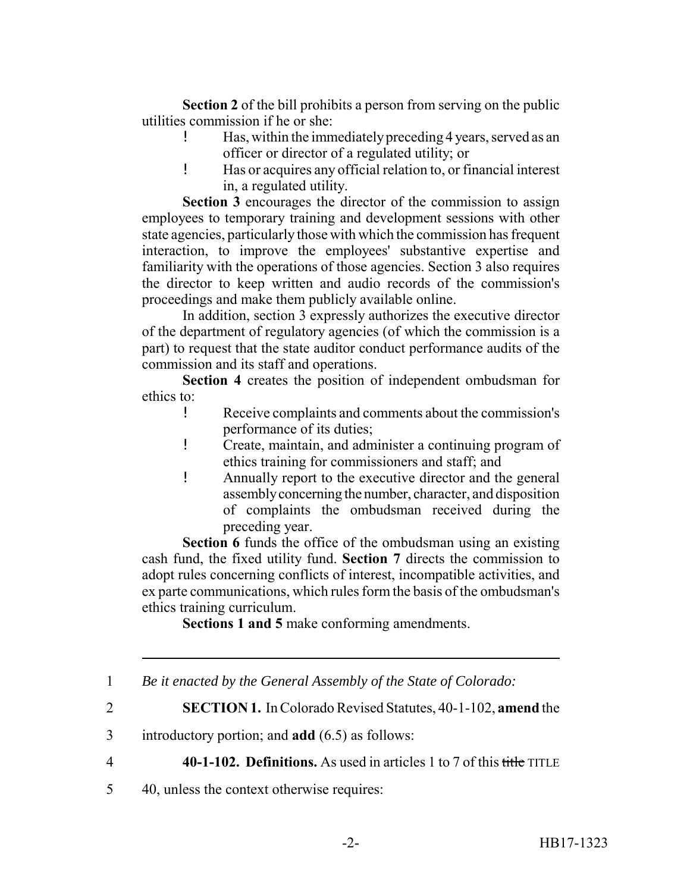**Section 2** of the bill prohibits a person from serving on the public utilities commission if he or she:

- ! Has, within the immediately preceding 4 years, served as an officer or director of a regulated utility; or
- ! Has or acquires any official relation to, or financial interest in, a regulated utility.

**Section 3** encourages the director of the commission to assign employees to temporary training and development sessions with other state agencies, particularly those with which the commission has frequent interaction, to improve the employees' substantive expertise and familiarity with the operations of those agencies. Section 3 also requires the director to keep written and audio records of the commission's proceedings and make them publicly available online.

In addition, section 3 expressly authorizes the executive director of the department of regulatory agencies (of which the commission is a part) to request that the state auditor conduct performance audits of the commission and its staff and operations.

**Section 4** creates the position of independent ombudsman for ethics to:

- ! Receive complaints and comments about the commission's performance of its duties;
- ! Create, maintain, and administer a continuing program of ethics training for commissioners and staff; and
- ! Annually report to the executive director and the general assembly concerning the number, character, and disposition of complaints the ombudsman received during the preceding year.

**Section 6** funds the office of the ombudsman using an existing cash fund, the fixed utility fund. **Section 7** directs the commission to adopt rules concerning conflicts of interest, incompatible activities, and ex parte communications, which rules form the basis of the ombudsman's ethics training curriculum.

**Sections 1 and 5** make conforming amendments.

4 **40-1-102. Definitions.** As used in articles 1 to 7 of this title TITLE

5 40, unless the context otherwise requires:

<sup>1</sup> *Be it enacted by the General Assembly of the State of Colorado:*

<sup>2</sup> **SECTION 1.** In Colorado Revised Statutes, 40-1-102, **amend** the

<sup>3</sup> introductory portion; and **add** (6.5) as follows: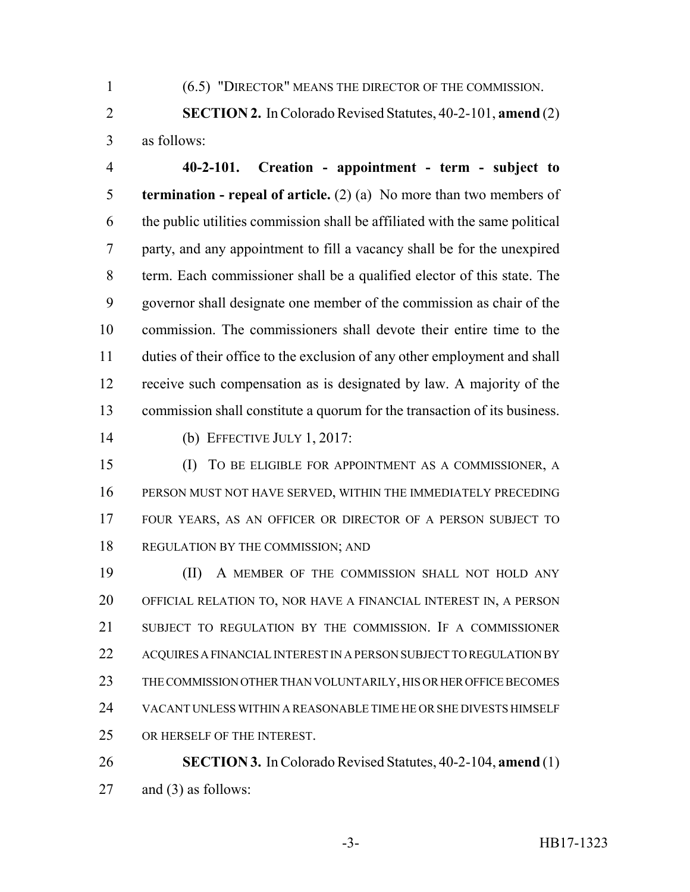(6.5) "DIRECTOR" MEANS THE DIRECTOR OF THE COMMISSION.

 **SECTION 2.** In Colorado Revised Statutes, 40-2-101, **amend** (2) as follows:

 **40-2-101. Creation - appointment - term - subject to termination - repeal of article.** (2) (a) No more than two members of the public utilities commission shall be affiliated with the same political party, and any appointment to fill a vacancy shall be for the unexpired term. Each commissioner shall be a qualified elector of this state. The governor shall designate one member of the commission as chair of the commission. The commissioners shall devote their entire time to the duties of their office to the exclusion of any other employment and shall receive such compensation as is designated by law. A majority of the commission shall constitute a quorum for the transaction of its business.

(b) EFFECTIVE JULY 1, 2017:

 (I) TO BE ELIGIBLE FOR APPOINTMENT AS A COMMISSIONER, A PERSON MUST NOT HAVE SERVED, WITHIN THE IMMEDIATELY PRECEDING FOUR YEARS, AS AN OFFICER OR DIRECTOR OF A PERSON SUBJECT TO 18 REGULATION BY THE COMMISSION; AND

 (II) A MEMBER OF THE COMMISSION SHALL NOT HOLD ANY OFFICIAL RELATION TO, NOR HAVE A FINANCIAL INTEREST IN, A PERSON SUBJECT TO REGULATION BY THE COMMISSION. IF A COMMISSIONER ACQUIRES A FINANCIAL INTEREST IN A PERSON SUBJECT TO REGULATION BY THE COMMISSION OTHER THAN VOLUNTARILY, HIS OR HER OFFICE BECOMES VACANT UNLESS WITHIN A REASONABLE TIME HE OR SHE DIVESTS HIMSELF OR HERSELF OF THE INTEREST.

 **SECTION 3.** In Colorado Revised Statutes, 40-2-104, **amend** (1) and (3) as follows: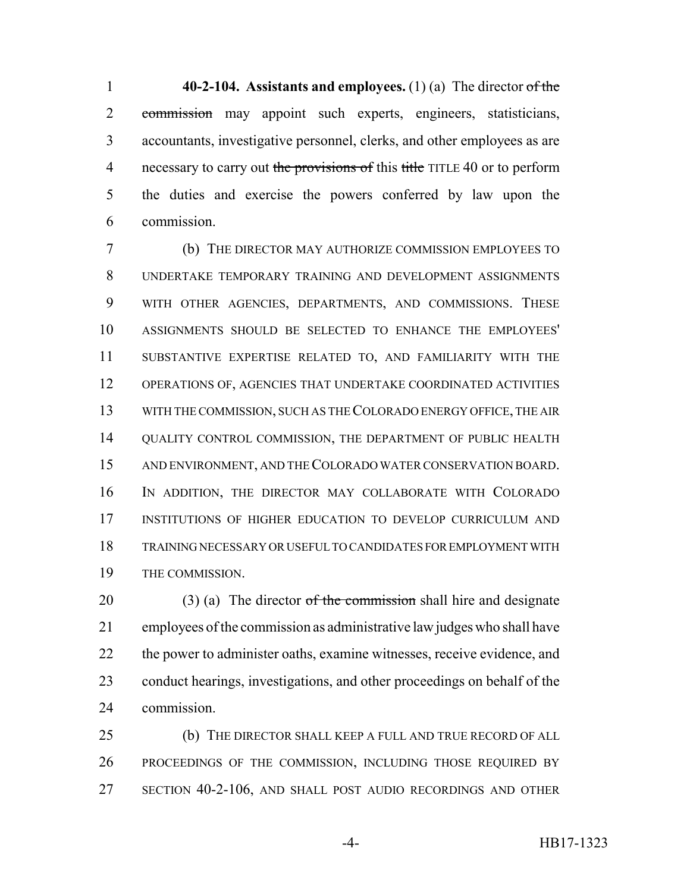**40-2-104. Assistants and employees.** (1) (a) The director of the commission may appoint such experts, engineers, statisticians, accountants, investigative personnel, clerks, and other employees as are 4 necessary to carry out the provisions of this title TITLE 40 or to perform the duties and exercise the powers conferred by law upon the commission.

 (b) THE DIRECTOR MAY AUTHORIZE COMMISSION EMPLOYEES TO UNDERTAKE TEMPORARY TRAINING AND DEVELOPMENT ASSIGNMENTS WITH OTHER AGENCIES, DEPARTMENTS, AND COMMISSIONS. THESE ASSIGNMENTS SHOULD BE SELECTED TO ENHANCE THE EMPLOYEES' SUBSTANTIVE EXPERTISE RELATED TO, AND FAMILIARITY WITH THE OPERATIONS OF, AGENCIES THAT UNDERTAKE COORDINATED ACTIVITIES WITH THE COMMISSION, SUCH AS THE COLORADO ENERGY OFFICE, THE AIR QUALITY CONTROL COMMISSION, THE DEPARTMENT OF PUBLIC HEALTH AND ENVIRONMENT, AND THE COLORADO WATER CONSERVATION BOARD. IN ADDITION, THE DIRECTOR MAY COLLABORATE WITH COLORADO INSTITUTIONS OF HIGHER EDUCATION TO DEVELOP CURRICULUM AND TRAINING NECESSARY OR USEFUL TO CANDIDATES FOR EMPLOYMENT WITH THE COMMISSION.

20 (3) (a) The director of the commission shall hire and designate employees of the commission as administrative law judges who shall have 22 the power to administer oaths, examine witnesses, receive evidence, and conduct hearings, investigations, and other proceedings on behalf of the commission.

 (b) THE DIRECTOR SHALL KEEP A FULL AND TRUE RECORD OF ALL PROCEEDINGS OF THE COMMISSION, INCLUDING THOSE REQUIRED BY SECTION 40-2-106, AND SHALL POST AUDIO RECORDINGS AND OTHER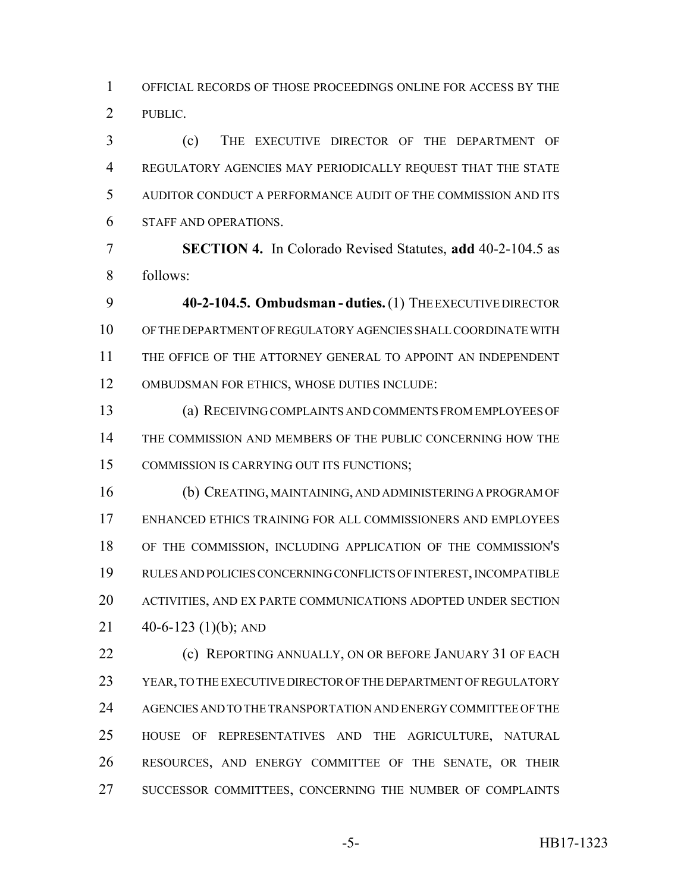OFFICIAL RECORDS OF THOSE PROCEEDINGS ONLINE FOR ACCESS BY THE PUBLIC.

 (c) THE EXECUTIVE DIRECTOR OF THE DEPARTMENT OF REGULATORY AGENCIES MAY PERIODICALLY REQUEST THAT THE STATE AUDITOR CONDUCT A PERFORMANCE AUDIT OF THE COMMISSION AND ITS STAFF AND OPERATIONS.

 **SECTION 4.** In Colorado Revised Statutes, **add** 40-2-104.5 as follows:

 **40-2-104.5. Ombudsman - duties.** (1) THE EXECUTIVE DIRECTOR OF THE DEPARTMENT OF REGULATORY AGENCIES SHALL COORDINATE WITH THE OFFICE OF THE ATTORNEY GENERAL TO APPOINT AN INDEPENDENT OMBUDSMAN FOR ETHICS, WHOSE DUTIES INCLUDE:

 (a) RECEIVING COMPLAINTS AND COMMENTS FROM EMPLOYEES OF THE COMMISSION AND MEMBERS OF THE PUBLIC CONCERNING HOW THE COMMISSION IS CARRYING OUT ITS FUNCTIONS;

 (b) CREATING, MAINTAINING, AND ADMINISTERING A PROGRAM OF ENHANCED ETHICS TRAINING FOR ALL COMMISSIONERS AND EMPLOYEES OF THE COMMISSION, INCLUDING APPLICATION OF THE COMMISSION'S RULES AND POLICIES CONCERNING CONFLICTS OF INTEREST, INCOMPATIBLE ACTIVITIES, AND EX PARTE COMMUNICATIONS ADOPTED UNDER SECTION  $40-6-123$  (1)(b); AND

**(c) REPORTING ANNUALLY, ON OR BEFORE JANUARY 31 OF EACH**  YEAR, TO THE EXECUTIVE DIRECTOR OF THE DEPARTMENT OF REGULATORY AGENCIES AND TO THE TRANSPORTATION AND ENERGY COMMITTEE OF THE HOUSE OF REPRESENTATIVES AND THE AGRICULTURE, NATURAL RESOURCES, AND ENERGY COMMITTEE OF THE SENATE, OR THEIR SUCCESSOR COMMITTEES, CONCERNING THE NUMBER OF COMPLAINTS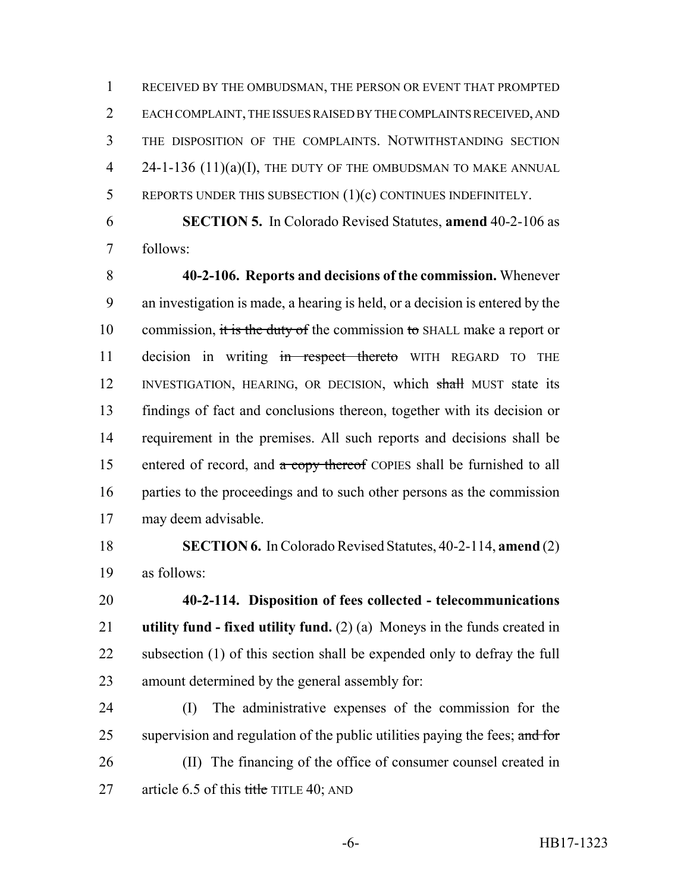RECEIVED BY THE OMBUDSMAN, THE PERSON OR EVENT THAT PROMPTED EACH COMPLAINT, THE ISSUES RAISED BY THE COMPLAINTS RECEIVED, AND THE DISPOSITION OF THE COMPLAINTS. NOTWITHSTANDING SECTION 4 24-1-136 (11)(a)(I), THE DUTY OF THE OMBUDSMAN TO MAKE ANNUAL REPORTS UNDER THIS SUBSECTION (1)(c) CONTINUES INDEFINITELY.

 **SECTION 5.** In Colorado Revised Statutes, **amend** 40-2-106 as follows:

 **40-2-106. Reports and decisions of the commission.** Whenever an investigation is made, a hearing is held, or a decision is entered by the 10 commission, it is the duty of the commission to SHALL make a report or 11 decision in writing in respect thereto WITH REGARD TO THE 12 INVESTIGATION, HEARING, OR DECISION, which shall MUST state its findings of fact and conclusions thereon, together with its decision or requirement in the premises. All such reports and decisions shall be 15 entered of record, and  $\alpha$  copy thereof COPIES shall be furnished to all parties to the proceedings and to such other persons as the commission may deem advisable.

 **SECTION 6.** In Colorado Revised Statutes, 40-2-114, **amend** (2) as follows:

 **40-2-114. Disposition of fees collected - telecommunications utility fund - fixed utility fund.** (2) (a) Moneys in the funds created in 22 subsection (1) of this section shall be expended only to defray the full amount determined by the general assembly for:

 (I) The administrative expenses of the commission for the 25 supervision and regulation of the public utilities paying the fees; and for (II) The financing of the office of consumer counsel created in 27 article 6.5 of this title TITLE 40; AND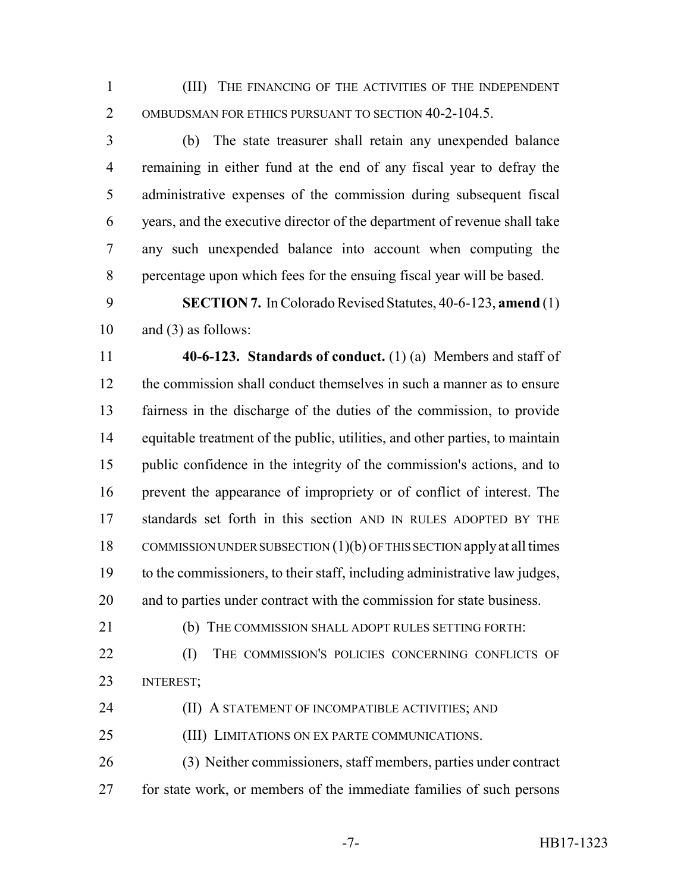(III) THE FINANCING OF THE ACTIVITIES OF THE INDEPENDENT OMBUDSMAN FOR ETHICS PURSUANT TO SECTION 40-2-104.5.

 (b) The state treasurer shall retain any unexpended balance remaining in either fund at the end of any fiscal year to defray the administrative expenses of the commission during subsequent fiscal years, and the executive director of the department of revenue shall take any such unexpended balance into account when computing the percentage upon which fees for the ensuing fiscal year will be based.

 **SECTION 7.** In Colorado Revised Statutes, 40-6-123, **amend** (1) and (3) as follows:

 **40-6-123. Standards of conduct.** (1) (a) Members and staff of the commission shall conduct themselves in such a manner as to ensure fairness in the discharge of the duties of the commission, to provide equitable treatment of the public, utilities, and other parties, to maintain public confidence in the integrity of the commission's actions, and to prevent the appearance of impropriety or of conflict of interest. The standards set forth in this section AND IN RULES ADOPTED BY THE COMMISSION UNDER SUBSECTION (1)(b) OF THIS SECTION apply at all times to the commissioners, to their staff, including administrative law judges, and to parties under contract with the commission for state business.

(b) THE COMMISSION SHALL ADOPT RULES SETTING FORTH:

**(I)** THE COMMISSION'S POLICIES CONCERNING CONFLICTS OF INTEREST;

**(II) A STATEMENT OF INCOMPATIBLE ACTIVITIES; AND** 

(III) LIMITATIONS ON EX PARTE COMMUNICATIONS.

 (3) Neither commissioners, staff members, parties under contract for state work, or members of the immediate families of such persons